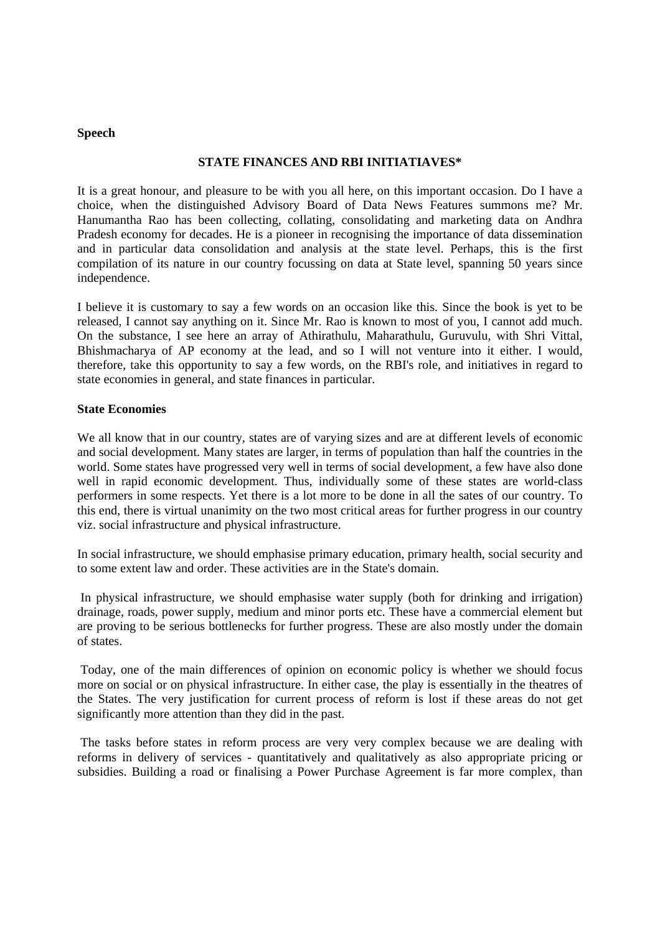### **Speech**

# **STATE FINANCES AND RBI INITIATIAVES\***

It is a great honour, and pleasure to be with you all here, on this important occasion. Do I have a choice, when the distinguished Advisory Board of Data News Features summons me? Mr. Hanumantha Rao has been collecting, collating, consolidating and marketing data on Andhra Pradesh economy for decades. He is a pioneer in recognising the importance of data dissemination and in particular data consolidation and analysis at the state level. Perhaps, this is the first compilation of its nature in our country focussing on data at State level, spanning 50 years since independence.

I believe it is customary to say a few words on an occasion like this. Since the book is yet to be released, I cannot say anything on it. Since Mr. Rao is known to most of you, I cannot add much. On the substance, I see here an array of Athirathulu, Maharathulu, Guruvulu, with Shri Vittal, Bhishmacharya of AP economy at the lead, and so I will not venture into it either. I would, therefore, take this opportunity to say a few words, on the RBI's role, and initiatives in regard to state economies in general, and state finances in particular.

### **State Economies**

We all know that in our country, states are of varying sizes and are at different levels of economic and social development. Many states are larger, in terms of population than half the countries in the world. Some states have progressed very well in terms of social development, a few have also done well in rapid economic development. Thus, individually some of these states are world-class performers in some respects. Yet there is a lot more to be done in all the sates of our country. To this end, there is virtual unanimity on the two most critical areas for further progress in our country viz. social infrastructure and physical infrastructure.

In social infrastructure, we should emphasise primary education, primary health, social security and to some extent law and order. These activities are in the State's domain.

 In physical infrastructure, we should emphasise water supply (both for drinking and irrigation) drainage, roads, power supply, medium and minor ports etc. These have a commercial element but are proving to be serious bottlenecks for further progress. These are also mostly under the domain of states.

 Today, one of the main differences of opinion on economic policy is whether we should focus more on social or on physical infrastructure. In either case, the play is essentially in the theatres of the States. The very justification for current process of reform is lost if these areas do not get significantly more attention than they did in the past.

 The tasks before states in reform process are very very complex because we are dealing with reforms in delivery of services - quantitatively and qualitatively as also appropriate pricing or subsidies. Building a road or finalising a Power Purchase Agreement is far more complex, than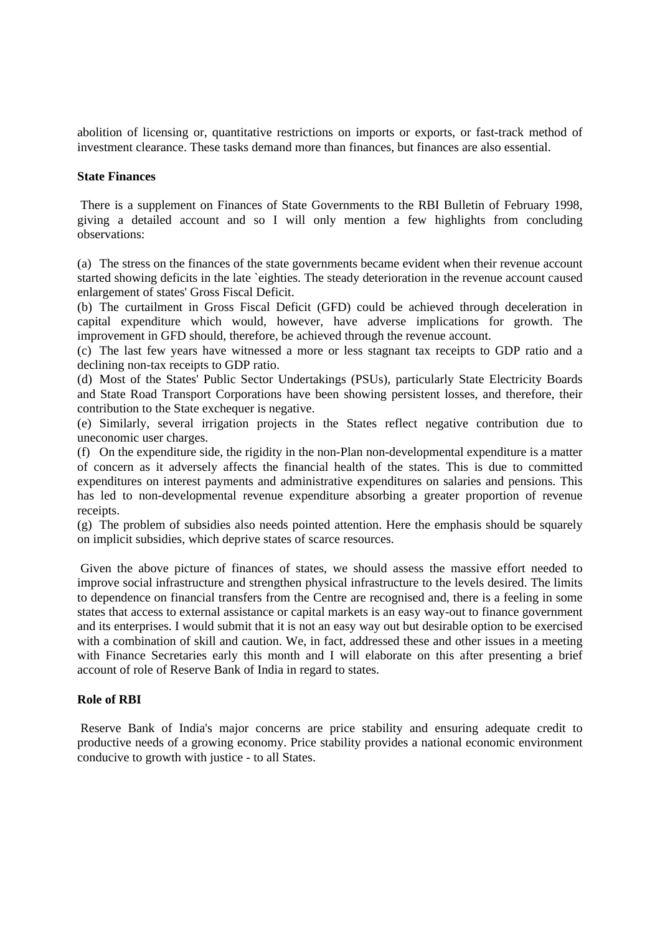abolition of licensing or, quantitative restrictions on imports or exports, or fast-track method of investment clearance. These tasks demand more than finances, but finances are also essential.

#### **State Finances**

 There is a supplement on Finances of State Governments to the RBI Bulletin of February 1998, giving a detailed account and so I will only mention a few highlights from concluding observations:

(a) The stress on the finances of the state governments became evident when their revenue account started showing deficits in the late `eighties. The steady deterioration in the revenue account caused enlargement of states' Gross Fiscal Deficit.

(b) The curtailment in Gross Fiscal Deficit (GFD) could be achieved through deceleration in capital expenditure which would, however, have adverse implications for growth. The improvement in GFD should, therefore, be achieved through the revenue account.

(c) The last few years have witnessed a more or less stagnant tax receipts to GDP ratio and a declining non-tax receipts to GDP ratio.

(d) Most of the States' Public Sector Undertakings (PSUs), particularly State Electricity Boards and State Road Transport Corporations have been showing persistent losses, and therefore, their contribution to the State exchequer is negative.

(e) Similarly, several irrigation projects in the States reflect negative contribution due to uneconomic user charges.

(f) On the expenditure side, the rigidity in the non-Plan non-developmental expenditure is a matter of concern as it adversely affects the financial health of the states. This is due to committed expenditures on interest payments and administrative expenditures on salaries and pensions. This has led to non-developmental revenue expenditure absorbing a greater proportion of revenue receipts.

(g) The problem of subsidies also needs pointed attention. Here the emphasis should be squarely on implicit subsidies, which deprive states of scarce resources.

 Given the above picture of finances of states, we should assess the massive effort needed to improve social infrastructure and strengthen physical infrastructure to the levels desired. The limits to dependence on financial transfers from the Centre are recognised and, there is a feeling in some states that access to external assistance or capital markets is an easy way-out to finance government and its enterprises. I would submit that it is not an easy way out but desirable option to be exercised with a combination of skill and caution. We, in fact, addressed these and other issues in a meeting with Finance Secretaries early this month and I will elaborate on this after presenting a brief account of role of Reserve Bank of India in regard to states.

### **Role of RBI**

 Reserve Bank of India's major concerns are price stability and ensuring adequate credit to productive needs of a growing economy. Price stability provides a national economic environment conducive to growth with justice - to all States.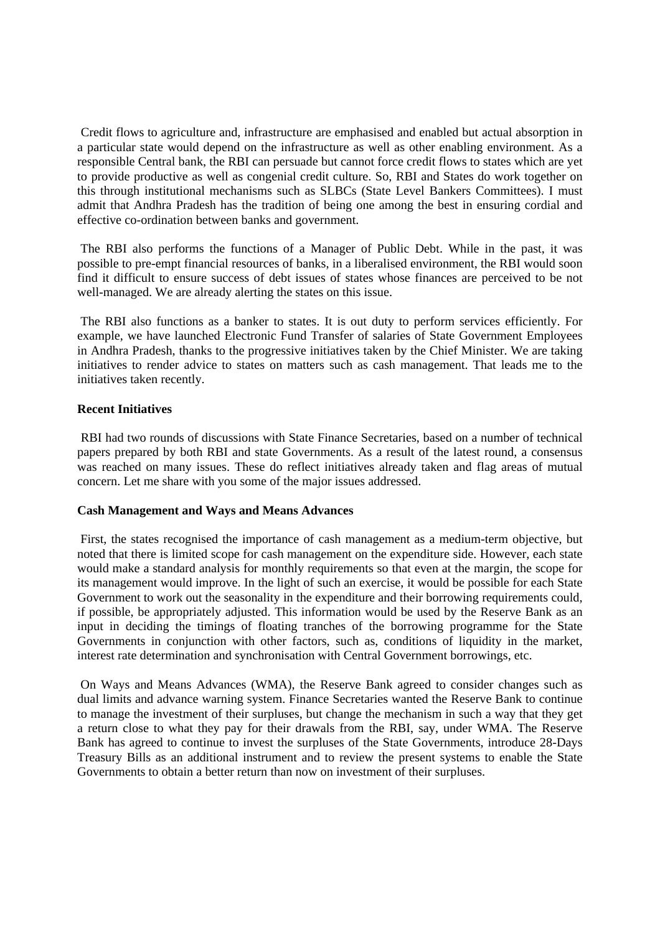Credit flows to agriculture and, infrastructure are emphasised and enabled but actual absorption in a particular state would depend on the infrastructure as well as other enabling environment. As a responsible Central bank, the RBI can persuade but cannot force credit flows to states which are yet to provide productive as well as congenial credit culture. So, RBI and States do work together on this through institutional mechanisms such as SLBCs (State Level Bankers Committees). I must admit that Andhra Pradesh has the tradition of being one among the best in ensuring cordial and effective co-ordination between banks and government.

 The RBI also performs the functions of a Manager of Public Debt. While in the past, it was possible to pre-empt financial resources of banks, in a liberalised environment, the RBI would soon find it difficult to ensure success of debt issues of states whose finances are perceived to be not well-managed. We are already alerting the states on this issue.

 The RBI also functions as a banker to states. It is out duty to perform services efficiently. For example, we have launched Electronic Fund Transfer of salaries of State Government Employees in Andhra Pradesh, thanks to the progressive initiatives taken by the Chief Minister. We are taking initiatives to render advice to states on matters such as cash management. That leads me to the initiatives taken recently.

# **Recent Initiatives**

 RBI had two rounds of discussions with State Finance Secretaries, based on a number of technical papers prepared by both RBI and state Governments. As a result of the latest round, a consensus was reached on many issues. These do reflect initiatives already taken and flag areas of mutual concern. Let me share with you some of the major issues addressed.

### **Cash Management and Ways and Means Advances**

 First, the states recognised the importance of cash management as a medium-term objective, but noted that there is limited scope for cash management on the expenditure side. However, each state would make a standard analysis for monthly requirements so that even at the margin, the scope for its management would improve. In the light of such an exercise, it would be possible for each State Government to work out the seasonality in the expenditure and their borrowing requirements could, if possible, be appropriately adjusted. This information would be used by the Reserve Bank as an input in deciding the timings of floating tranches of the borrowing programme for the State Governments in conjunction with other factors, such as, conditions of liquidity in the market, interest rate determination and synchronisation with Central Government borrowings, etc.

 On Ways and Means Advances (WMA), the Reserve Bank agreed to consider changes such as dual limits and advance warning system. Finance Secretaries wanted the Reserve Bank to continue to manage the investment of their surpluses, but change the mechanism in such a way that they get a return close to what they pay for their drawals from the RBI, say, under WMA. The Reserve Bank has agreed to continue to invest the surpluses of the State Governments, introduce 28-Days Treasury Bills as an additional instrument and to review the present systems to enable the State Governments to obtain a better return than now on investment of their surpluses.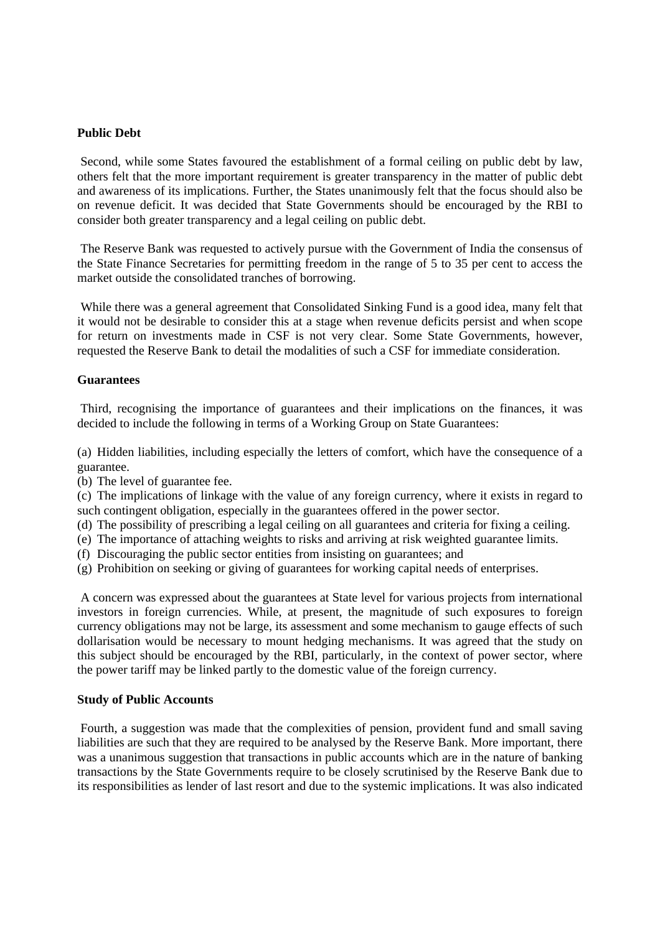### **Public Debt**

 Second, while some States favoured the establishment of a formal ceiling on public debt by law, others felt that the more important requirement is greater transparency in the matter of public debt and awareness of its implications. Further, the States unanimously felt that the focus should also be on revenue deficit. It was decided that State Governments should be encouraged by the RBI to consider both greater transparency and a legal ceiling on public debt.

 The Reserve Bank was requested to actively pursue with the Government of India the consensus of the State Finance Secretaries for permitting freedom in the range of 5 to 35 per cent to access the market outside the consolidated tranches of borrowing.

 While there was a general agreement that Consolidated Sinking Fund is a good idea, many felt that it would not be desirable to consider this at a stage when revenue deficits persist and when scope for return on investments made in CSF is not very clear. Some State Governments, however, requested the Reserve Bank to detail the modalities of such a CSF for immediate consideration.

#### **Guarantees**

 Third, recognising the importance of guarantees and their implications on the finances, it was decided to include the following in terms of a Working Group on State Guarantees:

(a) Hidden liabilities, including especially the letters of comfort, which have the consequence of a guarantee.

(b) The level of guarantee fee.

(c) The implications of linkage with the value of any foreign currency, where it exists in regard to such contingent obligation, especially in the guarantees offered in the power sector.

- (d) The possibility of prescribing a legal ceiling on all guarantees and criteria for fixing a ceiling.
- (e) The importance of attaching weights to risks and arriving at risk weighted guarantee limits.
- (f) Discouraging the public sector entities from insisting on guarantees; and
- (g) Prohibition on seeking or giving of guarantees for working capital needs of enterprises.

 A concern was expressed about the guarantees at State level for various projects from international investors in foreign currencies. While, at present, the magnitude of such exposures to foreign currency obligations may not be large, its assessment and some mechanism to gauge effects of such dollarisation would be necessary to mount hedging mechanisms. It was agreed that the study on this subject should be encouraged by the RBI, particularly, in the context of power sector, where the power tariff may be linked partly to the domestic value of the foreign currency.

#### **Study of Public Accounts**

 Fourth, a suggestion was made that the complexities of pension, provident fund and small saving liabilities are such that they are required to be analysed by the Reserve Bank. More important, there was a unanimous suggestion that transactions in public accounts which are in the nature of banking transactions by the State Governments require to be closely scrutinised by the Reserve Bank due to its responsibilities as lender of last resort and due to the systemic implications. It was also indicated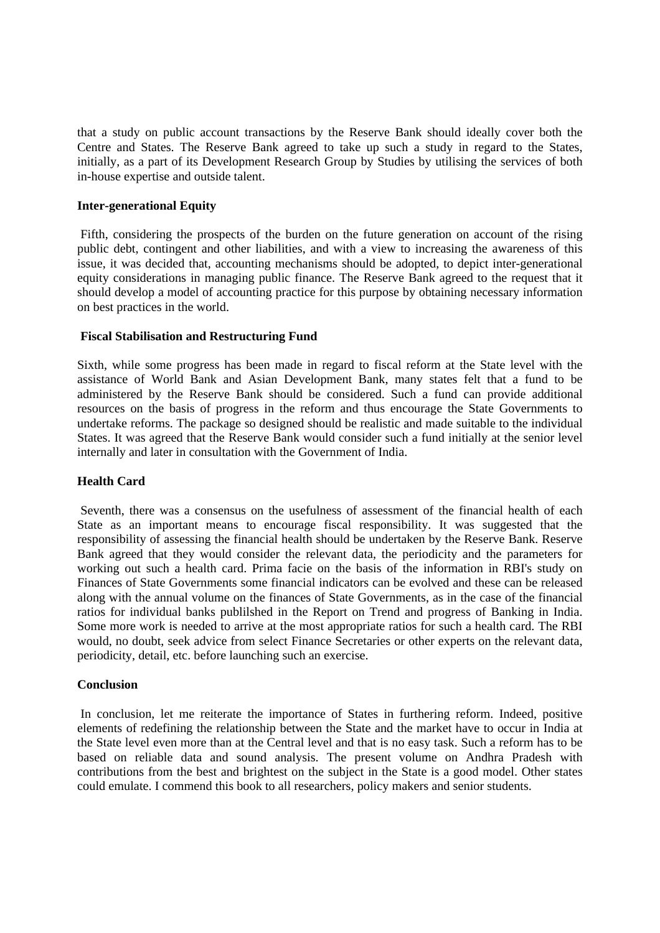that a study on public account transactions by the Reserve Bank should ideally cover both the Centre and States. The Reserve Bank agreed to take up such a study in regard to the States, initially, as a part of its Development Research Group by Studies by utilising the services of both in-house expertise and outside talent.

# **Inter-generational Equity**

Fifth, considering the prospects of the burden on the future generation on account of the rising public debt, contingent and other liabilities, and with a view to increasing the awareness of this issue, it was decided that, accounting mechanisms should be adopted, to depict inter-generational equity considerations in managing public finance. The Reserve Bank agreed to the request that it should develop a model of accounting practice for this purpose by obtaining necessary information on best practices in the world.

# **Fiscal Stabilisation and Restructuring Fund**

Sixth, while some progress has been made in regard to fiscal reform at the State level with the assistance of World Bank and Asian Development Bank, many states felt that a fund to be administered by the Reserve Bank should be considered. Such a fund can provide additional resources on the basis of progress in the reform and thus encourage the State Governments to undertake reforms. The package so designed should be realistic and made suitable to the individual States. It was agreed that the Reserve Bank would consider such a fund initially at the senior level internally and later in consultation with the Government of India.

### **Health Card**

 Seventh, there was a consensus on the usefulness of assessment of the financial health of each State as an important means to encourage fiscal responsibility. It was suggested that the responsibility of assessing the financial health should be undertaken by the Reserve Bank. Reserve Bank agreed that they would consider the relevant data, the periodicity and the parameters for working out such a health card. Prima facie on the basis of the information in RBI's study on Finances of State Governments some financial indicators can be evolved and these can be released along with the annual volume on the finances of State Governments, as in the case of the financial ratios for individual banks publilshed in the Report on Trend and progress of Banking in India. Some more work is needed to arrive at the most appropriate ratios for such a health card. The RBI would, no doubt, seek advice from select Finance Secretaries or other experts on the relevant data, periodicity, detail, etc. before launching such an exercise.

### **Conclusion**

 In conclusion, let me reiterate the importance of States in furthering reform. Indeed, positive elements of redefining the relationship between the State and the market have to occur in India at the State level even more than at the Central level and that is no easy task. Such a reform has to be based on reliable data and sound analysis. The present volume on Andhra Pradesh with contributions from the best and brightest on the subject in the State is a good model. Other states could emulate. I commend this book to all researchers, policy makers and senior students.